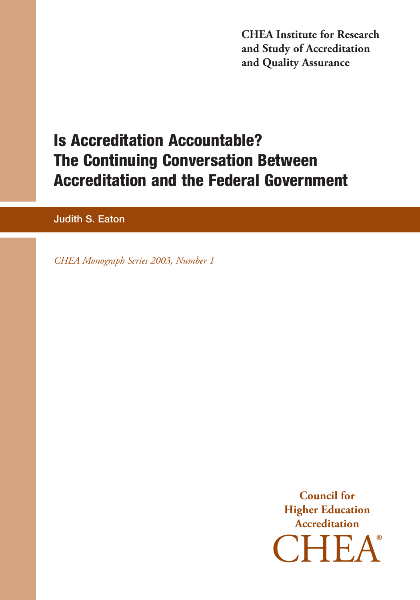**CHEA Institute for Research and Study of Accreditation and Quality Assurance**

# **Is Accreditation Accountable? The Continuing Conversation Between Accreditation and the Federal Government**

**Judith S. Eaton**

*CHEA Monograph Series 2003, Number 1*

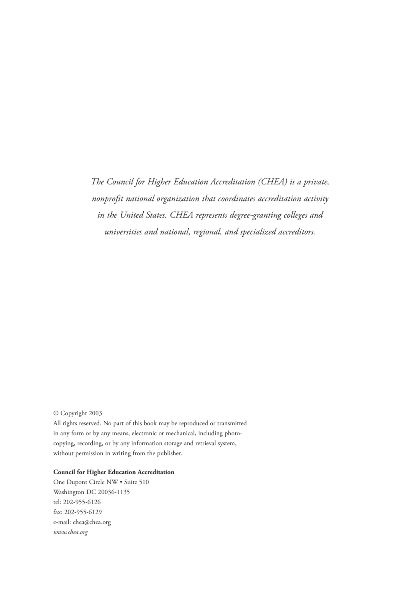*The Council for Higher Education Accreditation (CHEA) is a private, nonprofit national organization that coordinates accreditation activity in the United States. CHEA represents degree-granting colleges and universities and national, regional, and specialized accreditors.*

© Copyright 2003

All rights reserved. No part of this book may be reproduced or transmitted in any form or by any means, electronic or mechanical, including photocopying, recording, or by any information storage and retrieval system, without permission in writing from the publisher.

#### **Council for Higher Education Accreditation**

One Dupont Circle NW • Suite 510 Washington DC 20036-1135 tel: 202-955-6126 fax: 202-955-6129 e-mail: chea@chea.org *www.chea.org*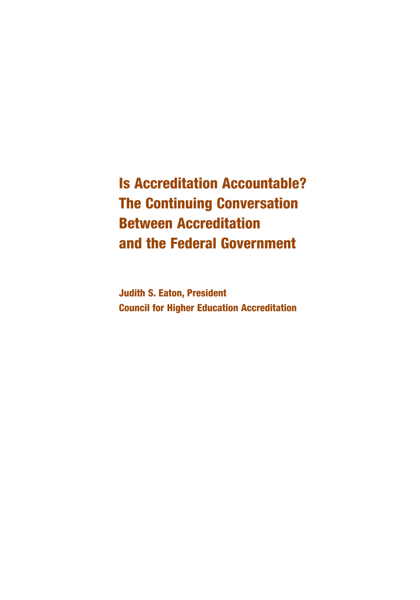**Is Accreditation Accountable? The Continuing Conversation Between Accreditation and the Federal Government**

**Judith S. Eaton, President Council for Higher Education Accreditation**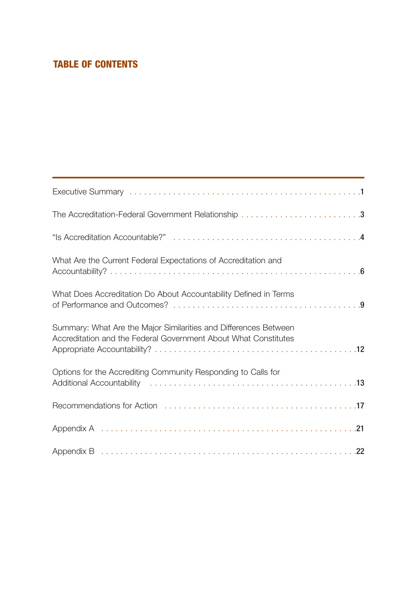# **TABLE OF CONTENTS**

| What Are the Current Federal Expectations of Accreditation and                                                                      |
|-------------------------------------------------------------------------------------------------------------------------------------|
| What Does Accreditation Do About Accountability Defined in Terms                                                                    |
| Summary: What Are the Major Similarities and Differences Between<br>Accreditation and the Federal Government About What Constitutes |
| Options for the Accrediting Community Responding to Calls for                                                                       |
|                                                                                                                                     |
|                                                                                                                                     |
|                                                                                                                                     |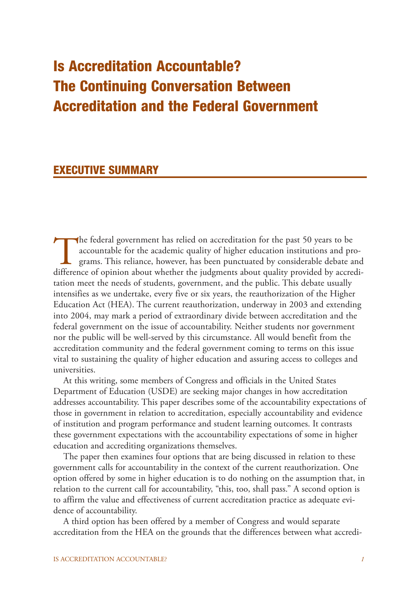# **Is Accreditation Accountable? The Continuing Conversation Between Accreditation and the Federal Government**

## **EXECUTIVE SUMMARY**

The federal government has relied on accreditation for the past 50 years to be<br>accountable for the academic quality of higher education institutions and pr<br>grams. This reliance, however, has been punctuated by considerable accountable for the academic quality of higher education institutions and programs. This reliance, however, has been punctuated by considerable debate and difference of opinion about whether the judgments about quality provided by accreditation meet the needs of students, government, and the public. This debate usually intensifies as we undertake, every five or six years, the reauthorization of the Higher Education Act (HEA). The current reauthorization, underway in 2003 and extending into 2004, may mark a period of extraordinary divide between accreditation and the federal government on the issue of accountability. Neither students nor government nor the public will be well-served by this circumstance. All would benefit from the accreditation community and the federal government coming to terms on this issue vital to sustaining the quality of higher education and assuring access to colleges and universities.

At this writing, some members of Congress and officials in the United States Department of Education (USDE) are seeking major changes in how accreditation addresses accountability. This paper describes some of the accountability expectations of those in government in relation to accreditation, especially accountability and evidence of institution and program performance and student learning outcomes. It contrasts these government expectations with the accountability expectations of some in higher education and accrediting organizations themselves.

The paper then examines four options that are being discussed in relation to these government calls for accountability in the context of the current reauthorization. One option offered by some in higher education is to do nothing on the assumption that, in relation to the current call for accountability, "this, too, shall pass." A second option is to affirm the value and effectiveness of current accreditation practice as adequate evidence of accountability.

A third option has been offered by a member of Congress and would separate accreditation from the HEA on the grounds that the differences between what accredi-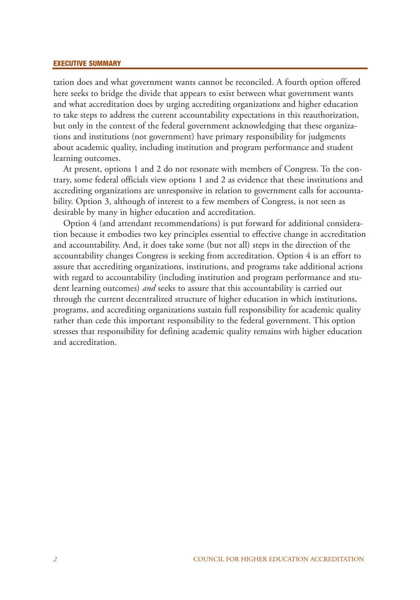#### **EXECUTIVE SUMMARY**

tation does and what government wants cannot be reconciled. A fourth option offered here seeks to bridge the divide that appears to exist between what government wants and what accreditation does by urging accrediting organizations and higher education to take steps to address the current accountability expectations in this reauthorization, but only in the context of the federal government acknowledging that these organizations and institutions (not government) have primary responsibility for judgments about academic quality, including institution and program performance and student learning outcomes.

At present, options 1 and 2 do not resonate with members of Congress. To the contrary, some federal officials view options 1 and 2 as evidence that these institutions and accrediting organizations are unresponsive in relation to government calls for accountability. Option 3, although of interest to a few members of Congress, is not seen as desirable by many in higher education and accreditation.

Option 4 (and attendant recommendations) is put forward for additional consideration because it embodies two key principles essential to effective change in accreditation and accountability. And, it does take some (but not all) steps in the direction of the accountability changes Congress is seeking from accreditation. Option 4 is an effort to assure that accrediting organizations, institutions, and programs take additional actions with regard to accountability (including institution and program performance and student learning outcomes) *and* seeks to assure that this accountability is carried out through the current decentralized structure of higher education in which institutions, programs, and accrediting organizations sustain full responsibility for academic quality rather than cede this important responsibility to the federal government. This option stresses that responsibility for defining academic quality remains with higher education and accreditation.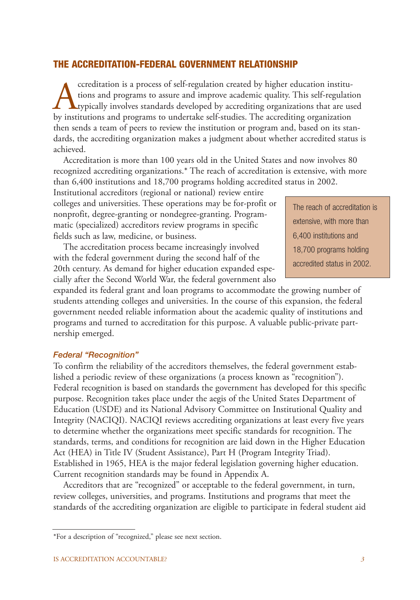#### **THE ACCREDITATION-FEDERAL GOVERNMENT RELATIONSHIP**

ccreditation is a process of self-regulation created by higher education institu-<br>tions and programs to assure and improve academic quality. This self-regulation<br>by institutions and programs to undertake self-studies. The tions and programs to assure and improve academic quality. This self-regulation typically involves standards developed by accrediting organizations that are used by institutions and programs to undertake self-studies. The accrediting organization then sends a team of peers to review the institution or program and, based on its standards, the accrediting organization makes a judgment about whether accredited status is achieved.

Accreditation is more than 100 years old in the United States and now involves 80 recognized accrediting organizations.\* The reach of accreditation is extensive, with more than 6,400 institutions and 18,700 programs holding accredited status in 2002.

Institutional accreditors (regional or national) review entire colleges and universities. These operations may be for-profit or nonprofit, degree-granting or nondegree-granting. Programmatic (specialized) accreditors review programs in specific fields such as law, medicine, or business.

The accreditation process became increasingly involved with the federal government during the second half of the 20th century. As demand for higher education expanded especially after the Second World War, the federal government also The reach of accreditation is extensive, with more than 6,400 institutions and 18,700 programs holding accredited status in 2002.

expanded its federal grant and loan programs to accommodate the growing number of students attending colleges and universities. In the course of this expansion, the federal government needed reliable information about the academic quality of institutions and programs and turned to accreditation for this purpose. A valuable public-private partnership emerged.

#### *Federal "Recognition"*

To confirm the reliability of the accreditors themselves, the federal government established a periodic review of these organizations (a process known as "recognition"). Federal recognition is based on standards the government has developed for this specific purpose. Recognition takes place under the aegis of the United States Department of Education (USDE) and its National Advisory Committee on Institutional Quality and Integrity (NACIQI). NACIQI reviews accrediting organizations at least every five years to determine whether the organizations meet specific standards for recognition. The standards, terms, and conditions for recognition are laid down in the Higher Education Act (HEA) in Title IV (Student Assistance), Part H (Program Integrity Triad). Established in 1965, HEA is the major federal legislation governing higher education. Current recognition standards may be found in Appendix A.

Accreditors that are "recognized" or acceptable to the federal government, in turn, review colleges, universities, and programs. Institutions and programs that meet the standards of the accrediting organization are eligible to participate in federal student aid

<sup>\*</sup>For a description of "recognized," please see next section.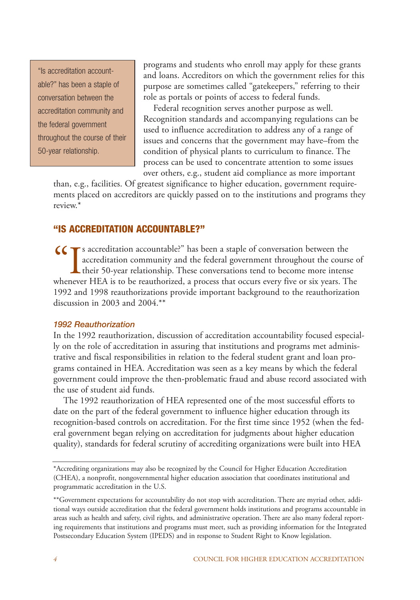"Is accreditation accountable?" has been a staple of conversation between the accreditation community and the federal government throughout the course of their 50-year relationship.

programs and students who enroll may apply for these grants and loans. Accreditors on which the government relies for this purpose are sometimes called "gatekeepers," referring to their role as portals or points of access to federal funds.

Federal recognition serves another purpose as well. Recognition standards and accompanying regulations can be used to influence accreditation to address any of a range of issues and concerns that the government may have–from the condition of physical plants to curriculum to finance. The process can be used to concentrate attention to some issues over others, e.g., student aid compliance as more important

than, e.g., facilities. Of greatest significance to higher education, government requirements placed on accreditors are quickly passed on to the institutions and programs they review.\*

## **"IS ACCREDITATION ACCOUNTABLE?"**

CCTs accreditation accountable?" has been a staple of conversation between the accreditation community and the federal government throughout the course of their 50-year relationship. These conversations tend to become more intense whenever HEA is to be reauthorized, a process that occurs every five or six years. The 1992 and 1998 reauthorizations provide important background to the reauthorization discussion in 2003 and 2004.\*\*

#### *1992 Reauthorization*

In the 1992 reauthorization, discussion of accreditation accountability focused especially on the role of accreditation in assuring that institutions and programs met administrative and fiscal responsibilities in relation to the federal student grant and loan programs contained in HEA. Accreditation was seen as a key means by which the federal government could improve the then-problematic fraud and abuse record associated with the use of student aid funds.

The 1992 reauthorization of HEA represented one of the most successful efforts to date on the part of the federal government to influence higher education through its recognition-based controls on accreditation. For the first time since 1952 (when the federal government began relying on accreditation for judgments about higher education quality), standards for federal scrutiny of accrediting organizations were built into HEA

<sup>\*</sup>Accrediting organizations may also be recognized by the Council for Higher Education Accreditation (CHEA), a nonprofit, nongovernmental higher education association that coordinates institutional and programmatic accreditation in the U.S.

<sup>\*\*</sup>Government expectations for accountability do not stop with accreditation. There are myriad other, additional ways outside accreditation that the federal government holds institutions and programs accountable in areas such as health and safety, civil rights, and administrative operation. There are also many federal reporting requirements that institutions and programs must meet, such as providing information for the Integrated Postsecondary Education System (IPEDS) and in response to Student Right to Know legislation.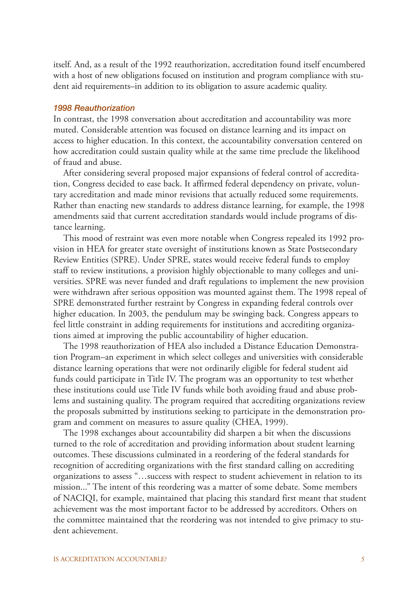itself. And, as a result of the 1992 reauthorization, accreditation found itself encumbered with a host of new obligations focused on institution and program compliance with student aid requirements–in addition to its obligation to assure academic quality.

#### *1998 Reauthorization*

In contrast, the 1998 conversation about accreditation and accountability was more muted. Considerable attention was focused on distance learning and its impact on access to higher education. In this context, the accountability conversation centered on how accreditation could sustain quality while at the same time preclude the likelihood of fraud and abuse.

After considering several proposed major expansions of federal control of accreditation, Congress decided to ease back. It affirmed federal dependency on private, voluntary accreditation and made minor revisions that actually reduced some requirements. Rather than enacting new standards to address distance learning, for example, the 1998 amendments said that current accreditation standards would include programs of distance learning.

This mood of restraint was even more notable when Congress repealed its 1992 provision in HEA for greater state oversight of institutions known as State Postsecondary Review Entities (SPRE). Under SPRE, states would receive federal funds to employ staff to review institutions, a provision highly objectionable to many colleges and universities. SPRE was never funded and draft regulations to implement the new provision were withdrawn after serious opposition was mounted against them. The 1998 repeal of SPRE demonstrated further restraint by Congress in expanding federal controls over higher education. In 2003, the pendulum may be swinging back. Congress appears to feel little constraint in adding requirements for institutions and accrediting organizations aimed at improving the public accountability of higher education.

The 1998 reauthorization of HEA also included a Distance Education Demonstration Program–an experiment in which select colleges and universities with considerable distance learning operations that were not ordinarily eligible for federal student aid funds could participate in Title IV. The program was an opportunity to test whether these institutions could use Title IV funds while both avoiding fraud and abuse problems and sustaining quality. The program required that accrediting organizations review the proposals submitted by institutions seeking to participate in the demonstration program and comment on measures to assure quality (CHEA, 1999).

The 1998 exchanges about accountability did sharpen a bit when the discussions turned to the role of accreditation and providing information about student learning outcomes. These discussions culminated in a reordering of the federal standards for recognition of accrediting organizations with the first standard calling on accrediting organizations to assess "…success with respect to student achievement in relation to its mission..." The intent of this reordering was a matter of some debate. Some members of NACIQI, for example, maintained that placing this standard first meant that student achievement was the most important factor to be addressed by accreditors. Others on the committee maintained that the reordering was not intended to give primacy to student achievement.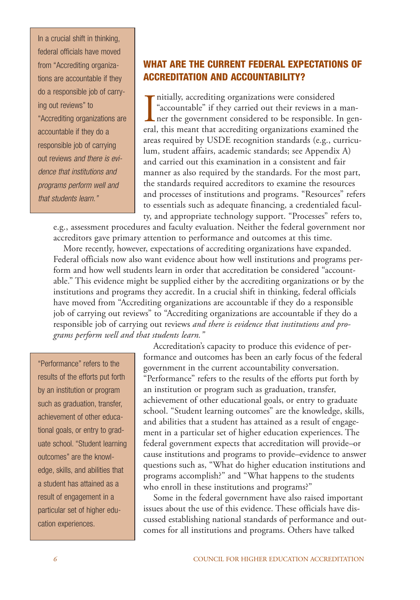In a crucial shift in thinking, federal officials have moved from "Accrediting organizations are accountable if they do a responsible job of carrying out reviews" to "Accrediting organizations are accountable if they do a responsible job of carrying out reviews and there is evidence that institutions and programs perform well and that students learn."

## **WHAT ARE THE CURRENT FEDERAL EXPECTATIONS OF ACCREDITATION AND ACCOUNTABILITY?**

Initially, accrediting organizations were considered<br>
"accountable" if they carried out their reviews in a man-<br>
ner the government considered to be responsible. In general, this meant that accrediting organizations examin nitially, accrediting organizations were considered "accountable" if they carried out their reviews in a manner the government considered to be responsible. In genareas required by USDE recognition standards (e.g., curriculum, student affairs, academic standards; see Appendix A) and carried out this examination in a consistent and fair manner as also required by the standards. For the most part, the standards required accreditors to examine the resources and processes of institutions and programs. "Resources" refers to essentials such as adequate financing, a credentialed faculty, and appropriate technology support. "Processes" refers to,

e.g., assessment procedures and faculty evaluation. Neither the federal government nor accreditors gave primary attention to performance and outcomes at this time.

More recently, however, expectations of accrediting organizations have expanded. Federal officials now also want evidence about how well institutions and programs perform and how well students learn in order that accreditation be considered "accountable." This evidence might be supplied either by the accrediting organizations or by the institutions and programs they accredit. In a crucial shift in thinking, federal officials have moved from "Accrediting organizations are accountable if they do a responsible job of carrying out reviews" to "Accrediting organizations are accountable if they do a responsible job of carrying out reviews *and there is evidence that institutions and programs perform well and that students learn."*

"Performance" refers to the results of the efforts put forth by an institution or program such as graduation, transfer, achievement of other educational goals, or entry to graduate school. "Student learning outcomes" are the knowledge, skills, and abilities that a student has attained as a result of engagement in a particular set of higher education experiences.

Accreditation's capacity to produce this evidence of performance and outcomes has been an early focus of the federal government in the current accountability conversation. "Performance" refers to the results of the efforts put forth by an institution or program such as graduation, transfer, achievement of other educational goals, or entry to graduate school. "Student learning outcomes" are the knowledge, skills, and abilities that a student has attained as a result of engagement in a particular set of higher education experiences. The federal government expects that accreditation will provide–or cause institutions and programs to provide–evidence to answer questions such as, "What do higher education institutions and programs accomplish?" and "What happens to the students who enroll in these institutions and programs?"

Some in the federal government have also raised important issues about the use of this evidence. These officials have discussed establishing national standards of performance and outcomes for all institutions and programs. Others have talked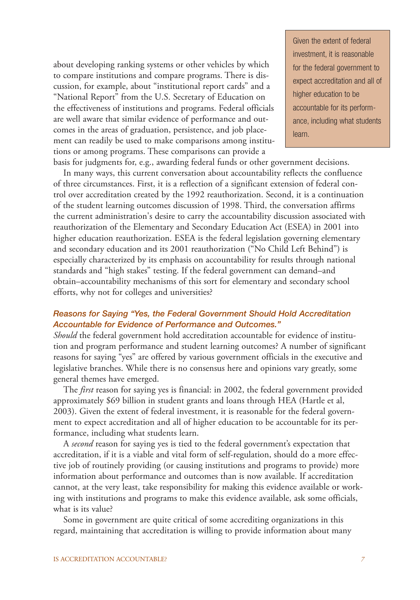about developing ranking systems or other vehicles by which to compare institutions and compare programs. There is discussion, for example, about "institutional report cards" and a "National Report" from the U.S. Secretary of Education on the effectiveness of institutions and programs. Federal officials are well aware that similar evidence of performance and outcomes in the areas of graduation, persistence, and job placement can readily be used to make comparisons among institutions or among programs. These comparisons can provide a

Given the extent of federal investment, it is reasonable for the federal government to expect accreditation and all of higher education to be accountable for its performance, including what students learn.

basis for judgments for, e.g., awarding federal funds or other government decisions. In many ways, this current conversation about accountability reflects the confluence of three circumstances. First, it is a reflection of a significant extension of federal control over accreditation created by the 1992 reauthorization. Second, it is a continuation of the student learning outcomes discussion of 1998. Third, the conversation affirms the current administration's desire to carry the accountability discussion associated with reauthorization of the Elementary and Secondary Education Act (ESEA) in 2001 into higher education reauthorization. ESEA is the federal legislation governing elementary and secondary education and its 2001 reauthorization ("No Child Left Behind") is especially characterized by its emphasis on accountability for results through national standards and "high stakes" testing. If the federal government can demand–and obtain–accountability mechanisms of this sort for elementary and secondary school efforts, why not for colleges and universities?

#### *Reasons for Saying "Yes, the Federal Government Should Hold Accreditation Accountable for Evidence of Performance and Outcomes."*

*Should* the federal government hold accreditation accountable for evidence of institution and program performance and student learning outcomes? A number of significant reasons for saying "yes" are offered by various government officials in the executive and legislative branches. While there is no consensus here and opinions vary greatly, some general themes have emerged.

The *first* reason for saying yes is financial: in 2002, the federal government provided approximately \$69 billion in student grants and loans through HEA (Hartle et al, 2003). Given the extent of federal investment, it is reasonable for the federal government to expect accreditation and all of higher education to be accountable for its performance, including what students learn.

A *second* reason for saying yes is tied to the federal government's expectation that accreditation, if it is a viable and vital form of self-regulation, should do a more effective job of routinely providing (or causing institutions and programs to provide) more information about performance and outcomes than is now available. If accreditation cannot, at the very least, take responsibility for making this evidence available or working with institutions and programs to make this evidence available, ask some officials, what is its value?

Some in government are quite critical of some accrediting organizations in this regard, maintaining that accreditation is willing to provide information about many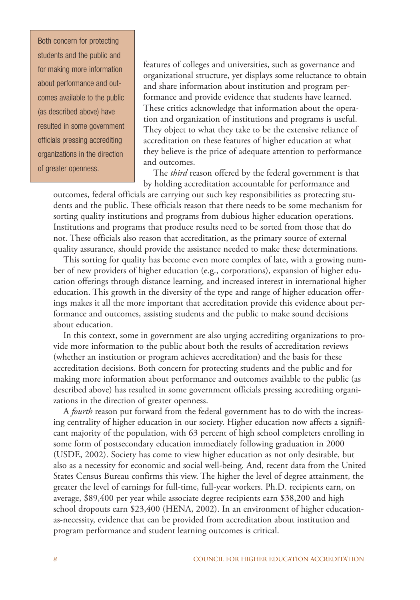Both concern for protecting students and the public and for making more information about performance and outcomes available to the public (as described above) have resulted in some government officials pressing accrediting organizations in the direction of greater openness.

features of colleges and universities, such as governance and organizational structure, yet displays some reluctance to obtain and share information about institution and program performance and provide evidence that students have learned. These critics acknowledge that information about the operation and organization of institutions and programs is useful. They object to what they take to be the extensive reliance of accreditation on these features of higher education at what they believe is the price of adequate attention to performance and outcomes.

The *third* reason offered by the federal government is that by holding accreditation accountable for performance and

outcomes, federal officials are carrying out such key responsibilities as protecting students and the public. These officials reason that there needs to be some mechanism for sorting quality institutions and programs from dubious higher education operations. Institutions and programs that produce results need to be sorted from those that do not. These officials also reason that accreditation, as the primary source of external quality assurance, should provide the assistance needed to make these determinations.

This sorting for quality has become even more complex of late, with a growing number of new providers of higher education (e.g., corporations), expansion of higher education offerings through distance learning, and increased interest in international higher education. This growth in the diversity of the type and range of higher education offerings makes it all the more important that accreditation provide this evidence about performance and outcomes, assisting students and the public to make sound decisions about education.

In this context, some in government are also urging accrediting organizations to provide more information to the public about both the results of accreditation reviews (whether an institution or program achieves accreditation) and the basis for these accreditation decisions. Both concern for protecting students and the public and for making more information about performance and outcomes available to the public (as described above) has resulted in some government officials pressing accrediting organizations in the direction of greater openness.

A *fourth* reason put forward from the federal government has to do with the increasing centrality of higher education in our society. Higher education now affects a significant majority of the population, with 63 percent of high school completers enrolling in some form of postsecondary education immediately following graduation in 2000 (USDE, 2002). Society has come to view higher education as not only desirable, but also as a necessity for economic and social well-being. And, recent data from the United States Census Bureau confirms this view. The higher the level of degree attainment, the greater the level of earnings for full-time, full-year workers. Ph.D. recipients earn, on average, \$89,400 per year while associate degree recipients earn \$38,200 and high school dropouts earn \$23,400 (HENA, 2002). In an environment of higher educationas-necessity, evidence that can be provided from accreditation about institution and program performance and student learning outcomes is critical.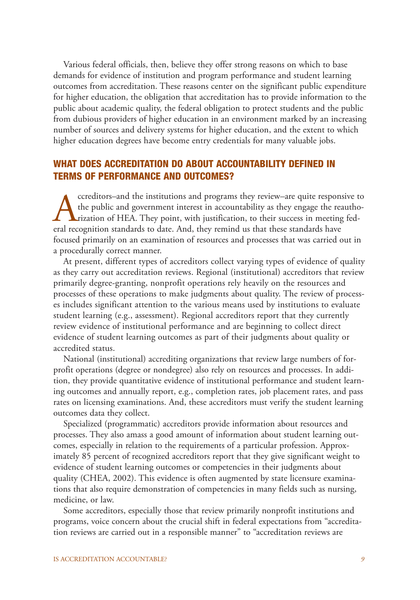Various federal officials, then, believe they offer strong reasons on which to base demands for evidence of institution and program performance and student learning outcomes from accreditation. These reasons center on the significant public expenditure for higher education, the obligation that accreditation has to provide information to the public about academic quality, the federal obligation to protect students and the public from dubious providers of higher education in an environment marked by an increasing number of sources and delivery systems for higher education, and the extent to which higher education degrees have become entry credentials for many valuable jobs.

## **WHAT DOES ACCREDITATION DO ABOUT ACCOUNTABILITY DEFINED IN TERMS OF PERFORMANCE AND OUTCOMES?**

creditors–and the institutions and programs they review–are quite responsive to<br>the public and government interest in accountability as they engage the reautho-<br>rization of HEA. They point, with justification, to their suc the public and government interest in accountability as they engage the reauthorization of HEA. They point, with justification, to their success in meeting federal recognition standards to date. And, they remind us that these standards have focused primarily on an examination of resources and processes that was carried out in a procedurally correct manner.

At present, different types of accreditors collect varying types of evidence of quality as they carry out accreditation reviews. Regional (institutional) accreditors that review primarily degree-granting, nonprofit operations rely heavily on the resources and processes of these operations to make judgments about quality. The review of processes includes significant attention to the various means used by institutions to evaluate student learning (e.g., assessment). Regional accreditors report that they currently review evidence of institutional performance and are beginning to collect direct evidence of student learning outcomes as part of their judgments about quality or accredited status.

National (institutional) accrediting organizations that review large numbers of forprofit operations (degree or nondegree) also rely on resources and processes. In addition, they provide quantitative evidence of institutional performance and student learning outcomes and annually report, e.g., completion rates, job placement rates, and pass rates on licensing examinations. And, these accreditors must verify the student learning outcomes data they collect.

Specialized (programmatic) accreditors provide information about resources and processes. They also amass a good amount of information about student learning outcomes, especially in relation to the requirements of a particular profession. Approximately 85 percent of recognized accreditors report that they give significant weight to evidence of student learning outcomes or competencies in their judgments about quality (CHEA, 2002). This evidence is often augmented by state licensure examinations that also require demonstration of competencies in many fields such as nursing, medicine, or law.

Some accreditors, especially those that review primarily nonprofit institutions and programs, voice concern about the crucial shift in federal expectations from "accreditation reviews are carried out in a responsible manner" to "accreditation reviews are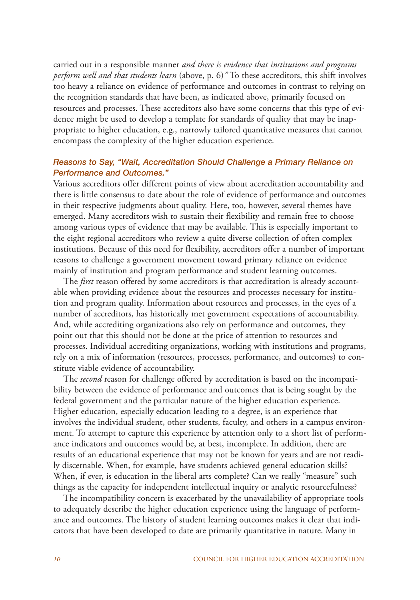carried out in a responsible manner *and there is evidence that institutions and programs perform well and that students learn* (above, p. 6)*"* To these accreditors, this shift involves too heavy a reliance on evidence of performance and outcomes in contrast to relying on the recognition standards that have been, as indicated above, primarily focused on resources and processes. These accreditors also have some concerns that this type of evidence might be used to develop a template for standards of quality that may be inappropriate to higher education, e.g., narrowly tailored quantitative measures that cannot encompass the complexity of the higher education experience.

#### *Reasons to Say, "Wait, Accreditation Should Challenge a Primary Reliance on Performance and Outcomes."*

Various accreditors offer different points of view about accreditation accountability and there is little consensus to date about the role of evidence of performance and outcomes in their respective judgments about quality. Here, too, however, several themes have emerged. Many accreditors wish to sustain their flexibility and remain free to choose among various types of evidence that may be available. This is especially important to the eight regional accreditors who review a quite diverse collection of often complex institutions. Because of this need for flexibility, accreditors offer a number of important reasons to challenge a government movement toward primary reliance on evidence mainly of institution and program performance and student learning outcomes.

The *first* reason offered by some accreditors is that accreditation is already accountable when providing evidence about the resources and processes necessary for institution and program quality. Information about resources and processes, in the eyes of a number of accreditors, has historically met government expectations of accountability. And, while accrediting organizations also rely on performance and outcomes, they point out that this should not be done at the price of attention to resources and processes. Individual accrediting organizations, working with institutions and programs, rely on a mix of information (resources, processes, performance, and outcomes) to constitute viable evidence of accountability.

The *second* reason for challenge offered by accreditation is based on the incompatibility between the evidence of performance and outcomes that is being sought by the federal government and the particular nature of the higher education experience. Higher education, especially education leading to a degree, is an experience that involves the individual student, other students, faculty, and others in a campus environment. To attempt to capture this experience by attention only to a short list of performance indicators and outcomes would be, at best, incomplete. In addition, there are results of an educational experience that may not be known for years and are not readily discernable. When, for example, have students achieved general education skills? When, if ever, is education in the liberal arts complete? Can we really "measure" such things as the capacity for independent intellectual inquiry or analytic resourcefulness?

The incompatibility concern is exacerbated by the unavailability of appropriate tools to adequately describe the higher education experience using the language of performance and outcomes. The history of student learning outcomes makes it clear that indicators that have been developed to date are primarily quantitative in nature. Many in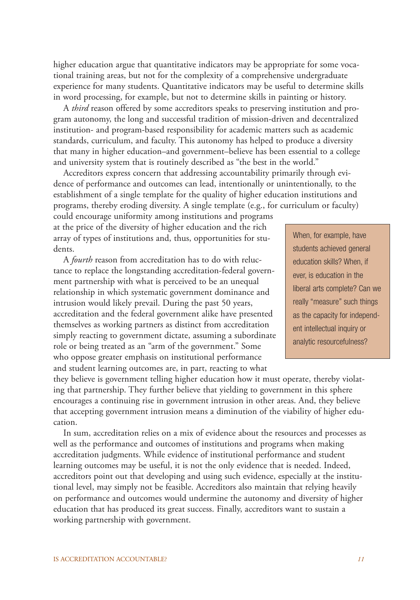higher education argue that quantitative indicators may be appropriate for some vocational training areas, but not for the complexity of a comprehensive undergraduate experience for many students. Quantitative indicators may be useful to determine skills in word processing, for example, but not to determine skills in painting or history.

A *third* reason offered by some accreditors speaks to preserving institution and program autonomy, the long and successful tradition of mission-driven and decentralized institution- and program-based responsibility for academic matters such as academic standards, curriculum, and faculty. This autonomy has helped to produce a diversity that many in higher education–and government–believe has been essential to a college and university system that is routinely described as "the best in the world."

Accreditors express concern that addressing accountability primarily through evidence of performance and outcomes can lead, intentionally or unintentionally, to the establishment of a single template for the quality of higher education institutions and programs, thereby eroding diversity. A single template (e.g., for curriculum or faculty)

could encourage uniformity among institutions and programs at the price of the diversity of higher education and the rich array of types of institutions and, thus, opportunities for students.

A *fourth* reason from accreditation has to do with reluctance to replace the longstanding accreditation-federal government partnership with what is perceived to be an unequal relationship in which systematic government dominance and intrusion would likely prevail. During the past 50 years, accreditation and the federal government alike have presented themselves as working partners as distinct from accreditation simply reacting to government dictate, assuming a subordinate role or being treated as an "arm of the government." Some who oppose greater emphasis on institutional performance and student learning outcomes are, in part, reacting to what

When, for example, have students achieved general education skills? When, if ever, is education in the liberal arts complete? Can we really "measure" such things as the capacity for independent intellectual inquiry or analytic resourcefulness?

they believe is government telling higher education how it must operate, thereby violating that partnership. They further believe that yielding to government in this sphere encourages a continuing rise in government intrusion in other areas. And, they believe that accepting government intrusion means a diminution of the viability of higher education.

In sum, accreditation relies on a mix of evidence about the resources and processes as well as the performance and outcomes of institutions and programs when making accreditation judgments. While evidence of institutional performance and student learning outcomes may be useful, it is not the only evidence that is needed. Indeed, accreditors point out that developing and using such evidence, especially at the institutional level, may simply not be feasible. Accreditors also maintain that relying heavily on performance and outcomes would undermine the autonomy and diversity of higher education that has produced its great success. Finally, accreditors want to sustain a working partnership with government.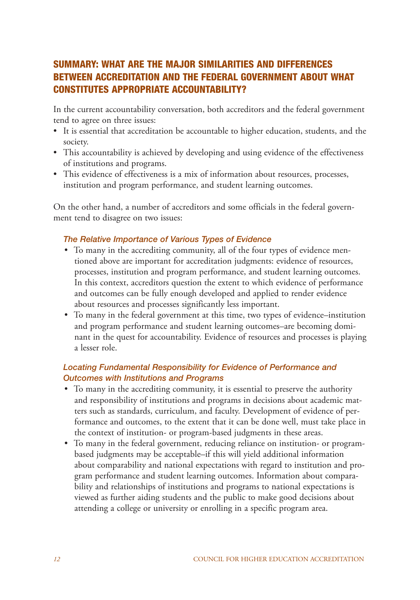## **SUMMARY: WHAT ARE THE MAJOR SIMILARITIES AND DIFFERENCES BETWEEN ACCREDITATION AND THE FEDERAL GOVERNMENT ABOUT WHAT CONSTITUTES APPROPRIATE ACCOUNTABILITY?**

In the current accountability conversation, both accreditors and the federal government tend to agree on three issues:

- It is essential that accreditation be accountable to higher education, students, and the society.
- This accountability is achieved by developing and using evidence of the effectiveness of institutions and programs.
- This evidence of effectiveness is a mix of information about resources, processes, institution and program performance, and student learning outcomes.

On the other hand, a number of accreditors and some officials in the federal government tend to disagree on two issues:

### *The Relative Importance of Various Types of Evidence*

- To many in the accrediting community, all of the four types of evidence mentioned above are important for accreditation judgments: evidence of resources, processes, institution and program performance, and student learning outcomes. In this context, accreditors question the extent to which evidence of performance and outcomes can be fully enough developed and applied to render evidence about resources and processes significantly less important.
- To many in the federal government at this time, two types of evidence–institution and program performance and student learning outcomes–are becoming dominant in the quest for accountability. Evidence of resources and processes is playing a lesser role.

## *Locating Fundamental Responsibility for Evidence of Performance and Outcomes with Institutions and Programs*

- To many in the accrediting community, it is essential to preserve the authority and responsibility of institutions and programs in decisions about academic matters such as standards, curriculum, and faculty. Development of evidence of performance and outcomes, to the extent that it can be done well, must take place in the context of institution- or program-based judgments in these areas.
- To many in the federal government, reducing reliance on institution- or programbased judgments may be acceptable–if this will yield additional information about comparability and national expectations with regard to institution and program performance and student learning outcomes. Information about comparability and relationships of institutions and programs to national expectations is viewed as further aiding students and the public to make good decisions about attending a college or university or enrolling in a specific program area.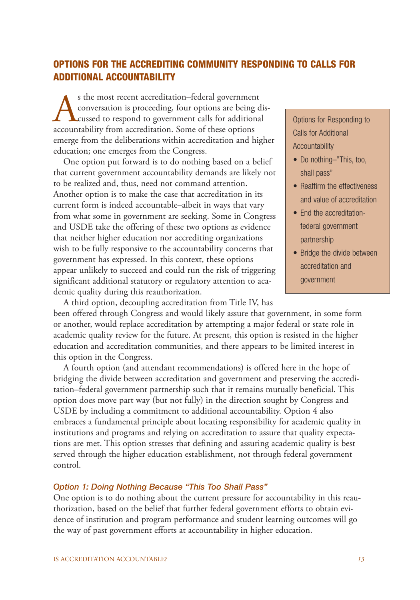## **OPTIONS FOR THE ACCREDITING COMMUNITY RESPONDING TO CALLS FOR ADDITIONAL ACCOUNTABILITY**

s the most recent accreditation–federal government<br>conversation is proceeding, four options are being conversation to government calls for additional<br>accountability from accreditation. Some of these options conversation is proceeding, four options are being discussed to respond to government calls for additional accountability from accreditation. Some of these options emerge from the deliberations within accreditation and higher education; one emerges from the Congress.

One option put forward is to do nothing based on a belief that current government accountability demands are likely not to be realized and, thus, need not command attention. Another option is to make the case that accreditation in its current form is indeed accountable–albeit in ways that vary from what some in government are seeking. Some in Congress and USDE take the offering of these two options as evidence that neither higher education nor accrediting organizations wish to be fully responsive to the accountability concerns that government has expressed. In this context, these options appear unlikely to succeed and could run the risk of triggering significant additional statutory or regulatory attention to academic quality during this reauthorization.

Options for Responding to Calls for Additional Accountability

- Do nothing-"This, too, shall pass"
- Reaffirm the effectiveness and value of accreditation
- End the accreditationfederal government partnership
- Bridge the divide between accreditation and government

A third option, decoupling accreditation from Title IV, has been offered through Congress and would likely assure that government, in some form or another, would replace accreditation by attempting a major federal or state role in academic quality review for the future. At present, this option is resisted in the higher education and accreditation communities, and there appears to be limited interest in this option in the Congress.

A fourth option (and attendant recommendations) is offered here in the hope of bridging the divide between accreditation and government and preserving the accreditation–federal government partnership such that it remains mutually beneficial. This option does move part way (but not fully) in the direction sought by Congress and USDE by including a commitment to additional accountability. Option 4 also embraces a fundamental principle about locating responsibility for academic quality in institutions and programs and relying on accreditation to assure that quality expectations are met. This option stresses that defining and assuring academic quality is best served through the higher education establishment, not through federal government control.

#### *Option 1: Doing Nothing Because "This Too Shall Pass"*

One option is to do nothing about the current pressure for accountability in this reauthorization, based on the belief that further federal government efforts to obtain evidence of institution and program performance and student learning outcomes will go the way of past government efforts at accountability in higher education.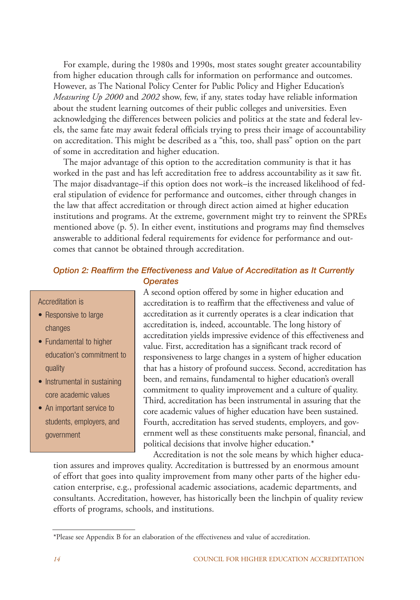For example, during the 1980s and 1990s, most states sought greater accountability from higher education through calls for information on performance and outcomes. However, as The National Policy Center for Public Policy and Higher Education's *Measuring Up 2000* and *2002* show, few, if any, states today have reliable information about the student learning outcomes of their public colleges and universities. Even acknowledging the differences between policies and politics at the state and federal levels, the same fate may await federal officials trying to press their image of accountability on accreditation. This might be described as a "this, too, shall pass" option on the part of some in accreditation and higher education.

The major advantage of this option to the accreditation community is that it has worked in the past and has left accreditation free to address accountability as it saw fit. The major disadvantage–if this option does not work–is the increased likelihood of federal stipulation of evidence for performance and outcomes, either through changes in the law that affect accreditation or through direct action aimed at higher education institutions and programs. At the extreme, government might try to reinvent the SPREs mentioned above (p. 5). In either event, institutions and programs may find themselves answerable to additional federal requirements for evidence for performance and outcomes that cannot be obtained through accreditation.

#### *Option 2: Reaffirm the Effectiveness and Value of Accreditation as It Currently Operates*

Accreditation is

- Responsive to large changes
- Fundamental to higher education's commitment to quality
- Instrumental in sustaining core academic values
- An important service to students, employers, and government

A second option offered by some in higher education and accreditation is to reaffirm that the effectiveness and value of accreditation as it currently operates is a clear indication that accreditation is, indeed, accountable. The long history of accreditation yields impressive evidence of this effectiveness and value. First, accreditation has a significant track record of responsiveness to large changes in a system of higher education that has a history of profound success. Second, accreditation has been, and remains, fundamental to higher education's overall commitment to quality improvement and a culture of quality. Third, accreditation has been instrumental in assuring that the core academic values of higher education have been sustained. Fourth, accreditation has served students, employers, and government well as these constituents make personal, financial, and political decisions that involve higher education.\*

Accreditation is not the sole means by which higher education assures and improves quality. Accreditation is buttressed by an enormous amount of effort that goes into quality improvement from many other parts of the higher education enterprise, e.g., professional academic associations, academic departments, and consultants. Accreditation, however, has historically been the linchpin of quality review efforts of programs, schools, and institutions.

<sup>\*</sup>Please see Appendix B for an elaboration of the effectiveness and value of accreditation.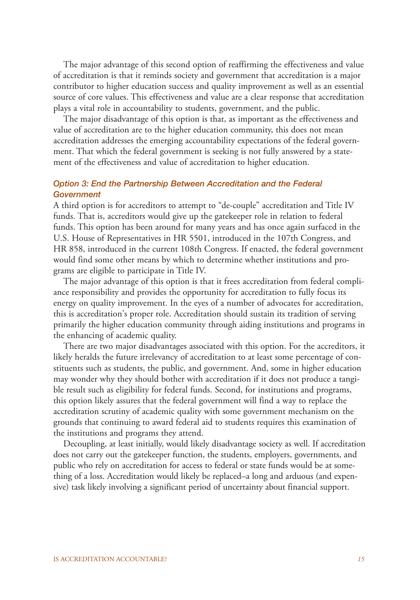The major advantage of this second option of reaffirming the effectiveness and value of accreditation is that it reminds society and government that accreditation is a major contributor to higher education success and quality improvement as well as an essential source of core values. This effectiveness and value are a clear response that accreditation plays a vital role in accountability to students, government, and the public.

The major disadvantage of this option is that, as important as the effectiveness and value of accreditation are to the higher education community, this does not mean accreditation addresses the emerging accountability expectations of the federal government. That which the federal government is seeking is not fully answered by a statement of the effectiveness and value of accreditation to higher education.

#### *Option 3: End the Partnership Between Accreditation and the Federal Government*

A third option is for accreditors to attempt to "de-couple" accreditation and Title IV funds. That is, accreditors would give up the gatekeeper role in relation to federal funds. This option has been around for many years and has once again surfaced in the U.S. House of Representatives in HR 5501, introduced in the 107th Congress, and HR 858, introduced in the current 108th Congress. If enacted, the federal government would find some other means by which to determine whether institutions and programs are eligible to participate in Title IV.

The major advantage of this option is that it frees accreditation from federal compliance responsibility and provides the opportunity for accreditation to fully focus its energy on quality improvement. In the eyes of a number of advocates for accreditation, this is accreditation's proper role. Accreditation should sustain its tradition of serving primarily the higher education community through aiding institutions and programs in the enhancing of academic quality.

There are two major disadvantages associated with this option. For the accreditors, it likely heralds the future irrelevancy of accreditation to at least some percentage of constituents such as students, the public, and government. And, some in higher education may wonder why they should bother with accreditation if it does not produce a tangible result such as eligibility for federal funds. Second, for institutions and programs, this option likely assures that the federal government will find a way to replace the accreditation scrutiny of academic quality with some government mechanism on the grounds that continuing to award federal aid to students requires this examination of the institutions and programs they attend.

Decoupling, at least initially, would likely disadvantage society as well. If accreditation does not carry out the gatekeeper function, the students, employers, governments, and public who rely on accreditation for access to federal or state funds would be at something of a loss. Accreditation would likely be replaced–a long and arduous (and expensive) task likely involving a significant period of uncertainty about financial support.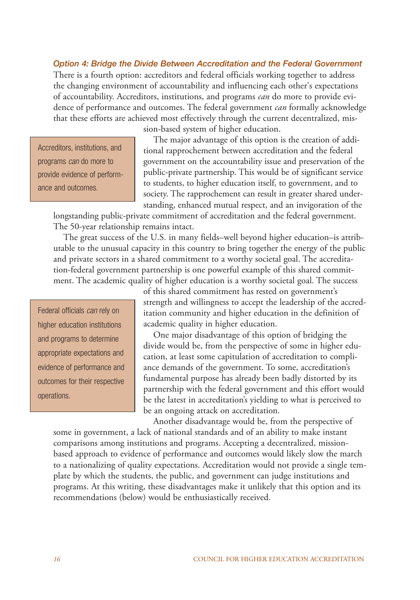*Option 4: Bridge the Divide Between Accreditation and the Federal Government* There is a fourth option: accreditors and federal officials working together to address the changing environment of accountability and influencing each other's expectations of accountability. Accreditors, institutions, and programs *can* do more to provide evidence of performance and outcomes. The federal government *can* formally acknowledge that these efforts are achieved most effectively through the current decentralized, mis-

Accreditors, institutions, and programs can do more to provide evidence of performance and outcomes.

sion-based system of higher education.

The major advantage of this option is the creation of additional rapprochement between accreditation and the federal government on the accountability issue and preservation of the public-private partnership. This would be of significant service to students, to higher education itself, to government, and to society. The rapprochement can result in greater shared understanding, enhanced mutual respect, and an invigoration of the

longstanding public-private commitment of accreditation and the federal government. The 50-year relationship remains intact.

The great success of the U.S. in many fields–well beyond higher education–is attributable to the unusual capacity in this country to bring together the energy of the public and private sectors in a shared commitment to a worthy societal goal. The accreditation-federal government partnership is one powerful example of this shared commitment. The academic quality of higher education is a worthy societal goal. The success

Federal officials can rely on higher education institutions and programs to determine appropriate expectations and evidence of performance and outcomes for their respective operations.

of this shared commitment has rested on government's strength and willingness to accept the leadership of the accreditation community and higher education in the definition of academic quality in higher education.

One major disadvantage of this option of bridging the divide would be, from the perspective of some in higher education, at least some capitulation of accreditation to compliance demands of the government. To some, accreditation's fundamental purpose has already been badly distorted by its partnership with the federal government and this effort would be the latest in accreditation's yielding to what is perceived to be an ongoing attack on accreditation.

Another disadvantage would be, from the perspective of some in government, a lack of national standards and of an ability to make instant comparisons among institutions and programs. Accepting a decentralized, missionbased approach to evidence of performance and outcomes would likely slow the march to a nationalizing of quality expectations. Accreditation would not provide a single template by which the students, the public, and government can judge institutions and programs. At this writing, these disadvantages make it unlikely that this option and its recommendations (below) would be enthusiastically received.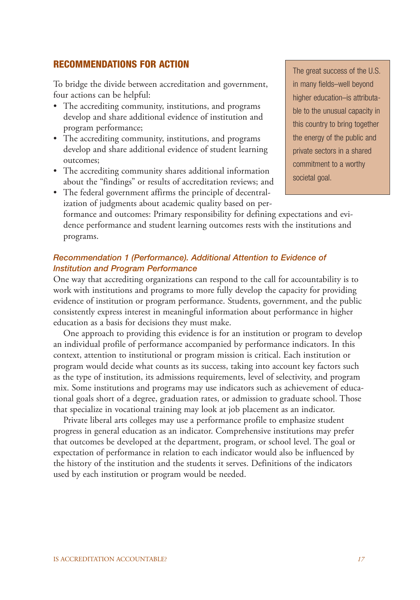#### **RECOMMENDATIONS FOR ACTION**

To bridge the divide between accreditation and government, four actions can be helpful:

- The accrediting community, institutions, and programs develop and share additional evidence of institution and program performance;
- The accrediting community, institutions, and programs develop and share additional evidence of student learning outcomes;
- The accrediting community shares additional information about the "findings" or results of accreditation reviews; and

The great success of the U.S. in many fields–well beyond higher education–is attributable to the unusual capacity in this country to bring together the energy of the public and private sectors in a shared commitment to a worthy societal goal.

• The federal government affirms the principle of decentralization of judgments about academic quality based on performance and outcomes: Primary responsibility for defining expectations and evidence performance and student learning outcomes rests with the institutions and programs.

#### *Recommendation 1 (Performance). Additional Attention to Evidence of Institution and Program Performance*

One way that accrediting organizations can respond to the call for accountability is to work with institutions and programs to more fully develop the capacity for providing evidence of institution or program performance. Students, government, and the public consistently express interest in meaningful information about performance in higher education as a basis for decisions they must make.

One approach to providing this evidence is for an institution or program to develop an individual profile of performance accompanied by performance indicators. In this context, attention to institutional or program mission is critical. Each institution or program would decide what counts as its success, taking into account key factors such as the type of institution, its admissions requirements, level of selectivity, and program mix. Some institutions and programs may use indicators such as achievement of educational goals short of a degree, graduation rates, or admission to graduate school. Those that specialize in vocational training may look at job placement as an indicator.

Private liberal arts colleges may use a performance profile to emphasize student progress in general education as an indicator. Comprehensive institutions may prefer that outcomes be developed at the department, program, or school level. The goal or expectation of performance in relation to each indicator would also be influenced by the history of the institution and the students it serves. Definitions of the indicators used by each institution or program would be needed.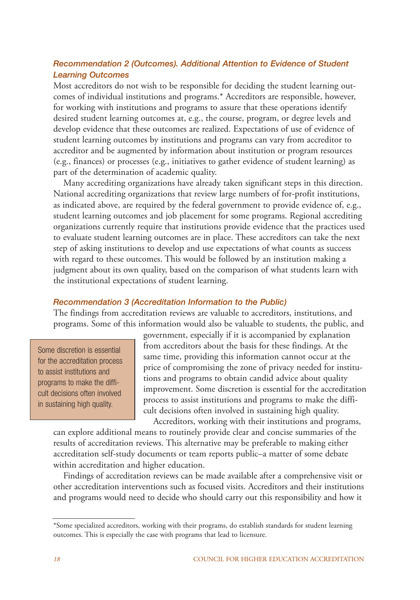### *Recommendation 2 (Outcomes). Additional Attention to Evidence of Student Learning Outcomes*

Most accreditors do not wish to be responsible for deciding the student learning outcomes of individual institutions and programs.\* Accreditors are responsible, however, for working with institutions and programs to assure that these operations identify desired student learning outcomes at, e.g., the course, program, or degree levels and develop evidence that these outcomes are realized. Expectations of use of evidence of student learning outcomes by institutions and programs can vary from accreditor to accreditor and be augmented by information about institution or program resources (e.g., finances) or processes (e.g., initiatives to gather evidence of student learning) as part of the determination of academic quality.

Many accrediting organizations have already taken significant steps in this direction. National accrediting organizations that review large numbers of for-profit institutions, as indicated above, are required by the federal government to provide evidence of, e.g., student learning outcomes and job placement for some programs. Regional accrediting organizations currently require that institutions provide evidence that the practices used to evaluate student learning outcomes are in place. These accreditors can take the next step of asking institutions to develop and use expectations of what counts as success with regard to these outcomes. This would be followed by an institution making a judgment about its own quality, based on the comparison of what students learn with the institutional expectations of student learning.

#### *Recommendation 3 (Accreditation Information to the Public)*

The findings from accreditation reviews are valuable to accreditors, institutions, and programs. Some of this information would also be valuable to students, the public, and

Some discretion is essential for the accreditation process to assist institutions and programs to make the difficult decisions often involved in sustaining high quality.

government, especially if it is accompanied by explanation from accreditors about the basis for these findings. At the same time, providing this information cannot occur at the price of compromising the zone of privacy needed for institutions and programs to obtain candid advice about quality improvement. Some discretion is essential for the accreditation process to assist institutions and programs to make the difficult decisions often involved in sustaining high quality.

Accreditors, working with their institutions and programs, can explore additional means to routinely provide clear and concise summaries of the results of accreditation reviews. This alternative may be preferable to making either accreditation self-study documents or team reports public–a matter of some debate within accreditation and higher education.

Findings of accreditation reviews can be made available after a comprehensive visit or other accreditation interventions such as focused visits. Accreditors and their institutions and programs would need to decide who should carry out this responsibility and how it

<sup>\*</sup>Some specialized accreditors, working with their programs, do establish standards for student learning outcomes. This is especially the case with programs that lead to licensure.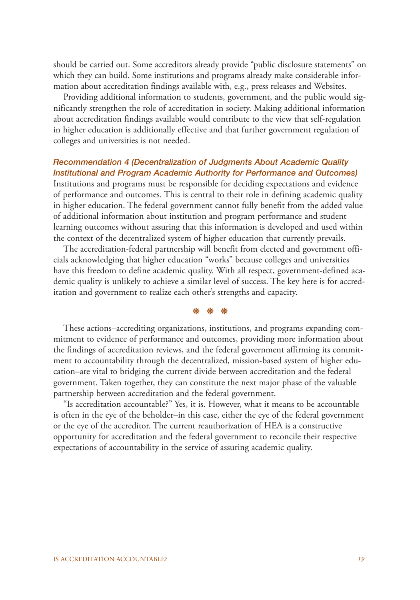should be carried out. Some accreditors already provide "public disclosure statements" on which they can build. Some institutions and programs already make considerable information about accreditation findings available with, e.g., press releases and Websites.

Providing additional information to students, government, and the public would significantly strengthen the role of accreditation in society. Making additional information about accreditation findings available would contribute to the view that self-regulation in higher education is additionally effective and that further government regulation of colleges and universities is not needed.

#### *Recommendation 4 (Decentralization of Judgments About Academic Quality Institutional and Program Academic Authority for Performance and Outcomes)*

Institutions and programs must be responsible for deciding expectations and evidence of performance and outcomes. This is central to their role in defining academic quality in higher education. The federal government cannot fully benefit from the added value of additional information about institution and program performance and student learning outcomes without assuring that this information is developed and used within the context of the decentralized system of higher education that currently prevails.

The accreditation-federal partnership will benefit from elected and government officials acknowledging that higher education "works" because colleges and universities have this freedom to define academic quality. With all respect, government-defined academic quality is unlikely to achieve a similar level of success. The key here is for accreditation and government to realize each other's strengths and capacity.

#### ❊ ❊ ❊

These actions–accrediting organizations, institutions, and programs expanding commitment to evidence of performance and outcomes, providing more information about the findings of accreditation reviews, and the federal government affirming its commitment to accountability through the decentralized, mission-based system of higher education–are vital to bridging the current divide between accreditation and the federal government. Taken together, they can constitute the next major phase of the valuable partnership between accreditation and the federal government.

"Is accreditation accountable?" Yes, it is. However, what it means to be accountable is often in the eye of the beholder–in this case, either the eye of the federal government or the eye of the accreditor. The current reauthorization of HEA is a constructive opportunity for accreditation and the federal government to reconcile their respective expectations of accountability in the service of assuring academic quality.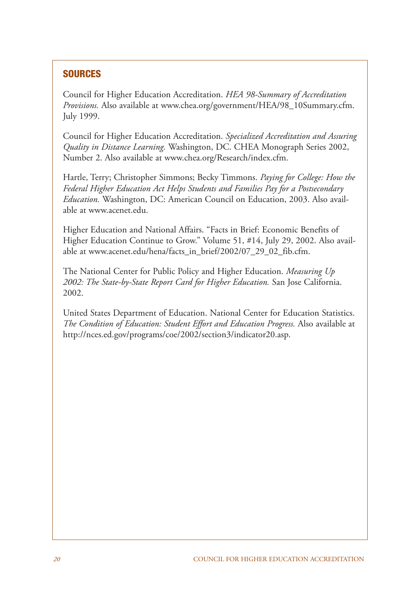# **SOURCES**

Council for Higher Education Accreditation. *HEA 98-Summary of Accreditation Provisions.* Also available at www.chea.org/government/HEA/98\_10Summary.cfm. July 1999.

Council for Higher Education Accreditation. *Specialized Accreditation and Assuring Quality in Distance Learning.* Washington, DC. CHEA Monograph Series 2002, Number 2. Also available at www.chea.org/Research/index.cfm.

Hartle, Terry; Christopher Simmons; Becky Timmons. *Paying for College: How the Federal Higher Education Act Helps Students and Families Pay for a Postsecondary Education.* Washington, DC: American Council on Education, 2003. Also available at www.acenet.edu.

Higher Education and National Affairs. "Facts in Brief: Economic Benefits of Higher Education Continue to Grow." Volume 51, #14, July 29, 2002. Also available at www.acenet.edu/hena/facts\_in\_brief/2002/07\_29\_02\_fib.cfm.

The National Center for Public Policy and Higher Education. *Measuring Up 2002: The State-by-State Report Card for Higher Education.* San Jose California. 2002.

United States Department of Education. National Center for Education Statistics. *The Condition of Education: Student Effort and Education Progress.* Also available at http://nces.ed.gov/programs/coe/2002/section3/indicator20.asp.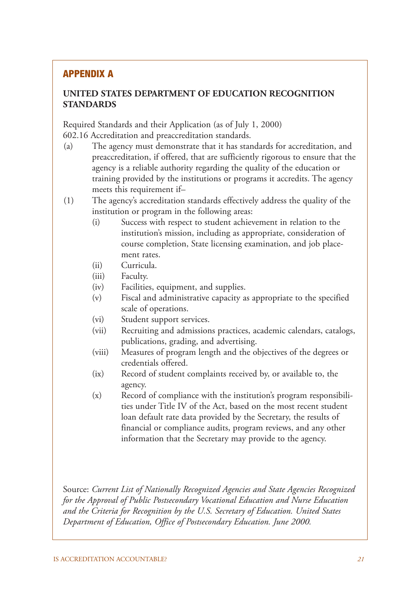## **APPENDIX A**

## **UNITED STATES DEPARTMENT OF EDUCATION RECOGNITION STANDARDS**

Required Standards and their Application (as of July 1, 2000) 602.16 Accreditation and preaccreditation standards.

- (a) The agency must demonstrate that it has standards for accreditation, and preaccreditation, if offered, that are sufficiently rigorous to ensure that the agency is a reliable authority regarding the quality of the education or training provided by the institutions or programs it accredits. The agency meets this requirement if–
- (1) The agency's accreditation standards effectively address the quality of the institution or program in the following areas:
	- (i) Success with respect to student achievement in relation to the institution's mission, including as appropriate, consideration of course completion, State licensing examination, and job placement rates.
	- (ii) Curricula.
	- (iii) Faculty.
	- (iv) Facilities, equipment, and supplies.
	- (v) Fiscal and administrative capacity as appropriate to the specified scale of operations.
	- (vi) Student support services.
	- (vii) Recruiting and admissions practices, academic calendars, catalogs, publications, grading, and advertising.
	- (viii) Measures of program length and the objectives of the degrees or credentials offered.
	- (ix) Record of student complaints received by, or available to, the agency.
	- (x) Record of compliance with the institution's program responsibilities under Title IV of the Act, based on the most recent student loan default rate data provided by the Secretary, the results of financial or compliance audits, program reviews, and any other information that the Secretary may provide to the agency.

Source: *Current List of Nationally Recognized Agencies and State Agencies Recognized for the Approval of Public Postsecondary Vocational Education and Nurse Education and the Criteria for Recognition by the U.S. Secretary of Education. United States Department of Education, Office of Postsecondary Education. June 2000.*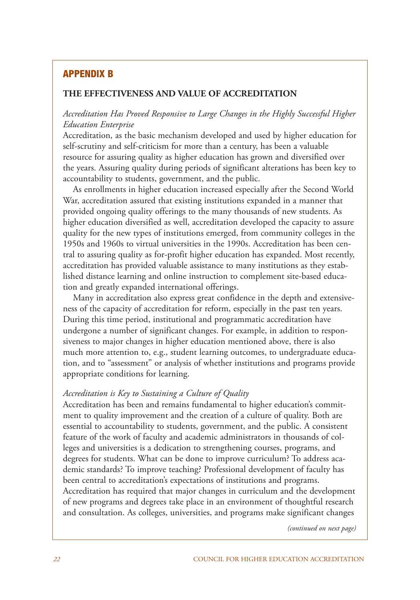## **APPENDIX B**

#### **THE EFFECTIVENESS AND VALUE OF ACCREDITATION**

#### *Accreditation Has Proved Responsive to Large Changes in the Highly Successful Higher Education Enterprise*

Accreditation, as the basic mechanism developed and used by higher education for self-scrutiny and self-criticism for more than a century, has been a valuable resource for assuring quality as higher education has grown and diversified over the years. Assuring quality during periods of significant alterations has been key to accountability to students, government, and the public.

As enrollments in higher education increased especially after the Second World War, accreditation assured that existing institutions expanded in a manner that provided ongoing quality offerings to the many thousands of new students. As higher education diversified as well, accreditation developed the capacity to assure quality for the new types of institutions emerged, from community colleges in the 1950s and 1960s to virtual universities in the 1990s. Accreditation has been central to assuring quality as for-profit higher education has expanded. Most recently, accreditation has provided valuable assistance to many institutions as they established distance learning and online instruction to complement site-based education and greatly expanded international offerings.

Many in accreditation also express great confidence in the depth and extensiveness of the capacity of accreditation for reform, especially in the past ten years. During this time period, institutional and programmatic accreditation have undergone a number of significant changes. For example, in addition to responsiveness to major changes in higher education mentioned above, there is also much more attention to, e.g., student learning outcomes, to undergraduate education, and to "assessment" or analysis of whether institutions and programs provide appropriate conditions for learning.

#### *Accreditation is Key to Sustaining a Culture of Quality*

Accreditation has been and remains fundamental to higher education's commitment to quality improvement and the creation of a culture of quality. Both are essential to accountability to students, government, and the public. A consistent feature of the work of faculty and academic administrators in thousands of colleges and universities is a dedication to strengthening courses, programs, and degrees for students. What can be done to improve curriculum? To address academic standards? To improve teaching? Professional development of faculty has been central to accreditation's expectations of institutions and programs. Accreditation has required that major changes in curriculum and the development of new programs and degrees take place in an environment of thoughtful research and consultation. As colleges, universities, and programs make significant changes

*(continued on next page)*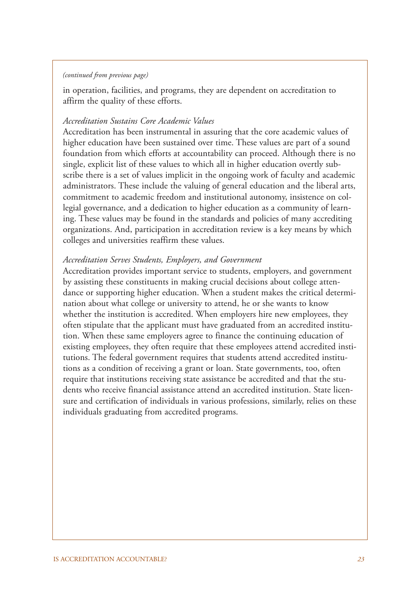#### *(continued from previous page)*

in operation, facilities, and programs, they are dependent on accreditation to affirm the quality of these efforts.

#### *Accreditation Sustains Core Academic Values*

Accreditation has been instrumental in assuring that the core academic values of higher education have been sustained over time. These values are part of a sound foundation from which efforts at accountability can proceed. Although there is no single, explicit list of these values to which all in higher education overtly subscribe there is a set of values implicit in the ongoing work of faculty and academic administrators. These include the valuing of general education and the liberal arts, commitment to academic freedom and institutional autonomy, insistence on collegial governance, and a dedication to higher education as a community of learning. These values may be found in the standards and policies of many accrediting organizations. And, participation in accreditation review is a key means by which colleges and universities reaffirm these values.

#### *Accreditation Serves Students, Employers, and Government*

Accreditation provides important service to students, employers, and government by assisting these constituents in making crucial decisions about college attendance or supporting higher education. When a student makes the critical determination about what college or university to attend, he or she wants to know whether the institution is accredited. When employers hire new employees, they often stipulate that the applicant must have graduated from an accredited institution. When these same employers agree to finance the continuing education of existing employees, they often require that these employees attend accredited institutions. The federal government requires that students attend accredited institutions as a condition of receiving a grant or loan. State governments, too, often require that institutions receiving state assistance be accredited and that the students who receive financial assistance attend an accredited institution. State licensure and certification of individuals in various professions, similarly, relies on these individuals graduating from accredited programs.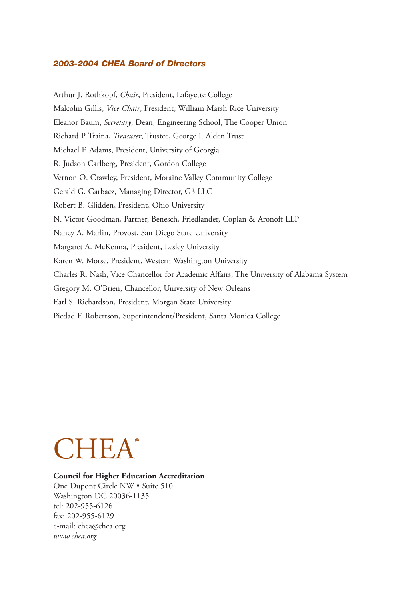#### *2003-2004 CHEA Board of Directors*

Arthur J. Rothkopf, *Chair*, President, Lafayette College Malcolm Gillis, *Vice Chair*, President, William Marsh Rice University Eleanor Baum, *Secretary*, Dean, Engineering School, The Cooper Union Richard P. Traina, *Treasurer*, Trustee, George I. Alden Trust Michael F. Adams, President, University of Georgia R. Judson Carlberg, President, Gordon College Vernon O. Crawley, President, Moraine Valley Community College Gerald G. Garbacz, Managing Director, G3 LLC Robert B. Glidden, President, Ohio University N. Victor Goodman, Partner, Benesch, Friedlander, Coplan & Aronoff LLP Nancy A. Marlin, Provost, San Diego State University Margaret A. McKenna, President, Lesley University Karen W. Morse, President, Western Washington University Charles R. Nash, Vice Chancellor for Academic Affairs, The University of Alabama System Gregory M. O'Brien, Chancellor, University of New Orleans Earl S. Richardson, President, Morgan State University Piedad F. Robertson, Superintendent/President, Santa Monica College



### **Council for Higher Education Accreditation**

One Dupont Circle NW • Suite 510 Washington DC 20036-1135 tel: 202-955-6126 fax: 202-955-6129 e-mail: chea@chea.org *www.chea.org*